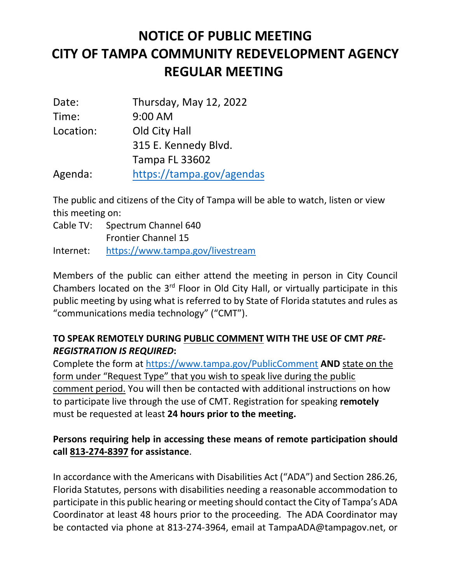## **NOTICE OF PUBLIC MEETING CITY OF TAMPA COMMUNITY REDEVELOPMENT AGENCY REGULAR MEETING**

| Date:     | Thursday, May 12, 2022    |
|-----------|---------------------------|
| Time:     | $9:00$ AM                 |
| Location: | Old City Hall             |
|           | 315 E. Kennedy Blvd.      |
|           | <b>Tampa FL 33602</b>     |
| Agenda:   | https://tampa.gov/agendas |

The public and citizens of the City of Tampa will be able to watch, listen or view this meeting on:

Cable TV: Spectrum Channel 640 Frontier Channel 15 Internet: <https://www.tampa.gov/livestream>

Members of the public can either attend the meeting in person in City Council Chambers located on the 3<sup>rd</sup> Floor in Old City Hall, or virtually participate in this public meeting by using what is referred to by State of Florida statutes and rules as "communications media technology" ("CMT").

## **TO SPEAK REMOTELY DURING PUBLIC COMMENT WITH THE USE OF CMT** *PRE-REGISTRATION IS REQUIRED***:**

Complete the form at<https://www.tampa.gov/PublicComment> **AND** state on the form under "Request Type" that you wish to speak live during the public comment period. You will then be contacted with additional instructions on how to participate live through the use of CMT. Registration for speaking **remotely** must be requested at least **24 hours prior to the meeting.**

## **Persons requiring help in accessing these means of remote participation should call 813-274-8397 for assistance**.

In accordance with the Americans with Disabilities Act ("ADA") and Section 286.26, Florida Statutes, persons with disabilities needing a reasonable accommodation to participate in this public hearing or meeting should contact the City of Tampa's ADA Coordinator at least 48 hours prior to the proceeding. The ADA Coordinator may be contacted via phone at 813-274-3964, email at TampaADA@tampagov.net, or